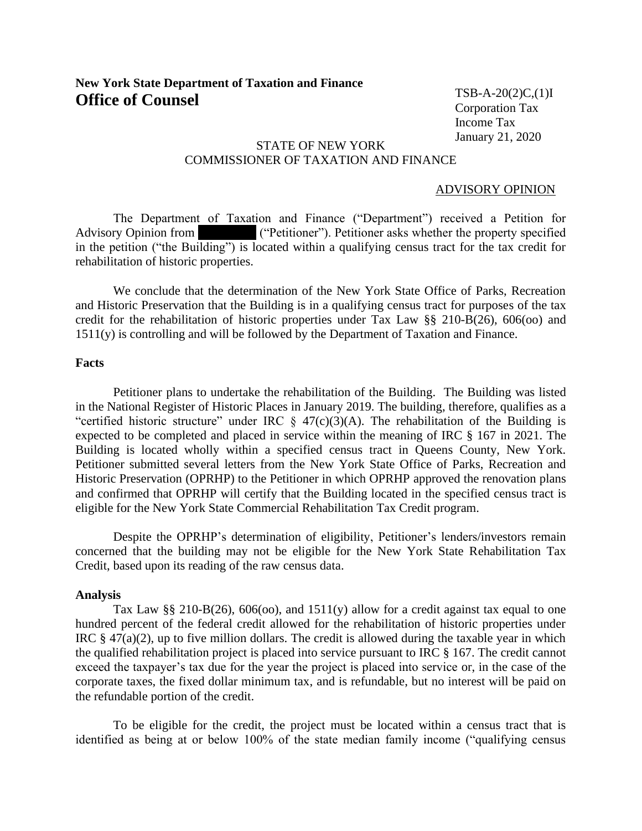# **New York State Department of Taxation and Finance Office of Counsel**

 $TSB-A-20(2)C(1)I$ Corporation Tax Income Tax January 21, 2020

#### STATE OF NEW YORK COMMISSIONER OF TAXATION AND FINANCE  $\overline{\phantom{a}}$

### ADVISORY OPINION

The Department of Taxation and Finance ("Department") received a Petition for Advisory Opinion from **REDACTE ("Petitioner"). Petitioner asks whether the property specified** in the petition ("the Building") is located within a qualifying census tract for the tax credit for rehabilitation of historic properties.

We conclude that the determination of the New York State Office of Parks, Recreation and Historic Preservation that the Building is in a qualifying census tract for purposes of the tax credit for the rehabilitation of historic properties under Tax Law §§ 210-B(26), 606(oo) and 1511(y) is controlling and will be followed by the Department of Taxation and Finance.

## **Facts**

Petitioner plans to undertake the rehabilitation of the Building. The Building was listed in the National Register of Historic Places in January 2019. The building, therefore, qualifies as a "certified historic structure" under IRC  $\S$  47(c)(3)(A). The rehabilitation of the Building is expected to be completed and placed in service within the meaning of IRC § 167 in 2021. The Building is located wholly within a specified census tract in Queens County, New York. Petitioner submitted several letters from the New York State Office of Parks, Recreation and Historic Preservation (OPRHP) to the Petitioner in which OPRHP approved the renovation plans and confirmed that OPRHP will certify that the Building located in the specified census tract is eligible for the New York State Commercial Rehabilitation Tax Credit program.

Despite the OPRHP's determination of eligibility, Petitioner's lenders/investors remain concerned that the building may not be eligible for the New York State Rehabilitation Tax Credit, based upon its reading of the raw census data.

### **Analysis**

Tax Law §§ 210-B(26), 606(00), and 1511(y) allow for a credit against tax equal to one hundred percent of the federal credit allowed for the rehabilitation of historic properties under IRC  $\S$  47(a)(2), up to five million dollars. The credit is allowed during the taxable year in which the qualified rehabilitation project is placed into service pursuant to IRC § 167. The credit cannot exceed the taxpayer's tax due for the year the project is placed into service or, in the case of the corporate taxes, the fixed dollar minimum tax, and is refundable, but no interest will be paid on the refundable portion of the credit.

To be eligible for the credit, the project must be located within a census tract that is identified as being at or below 100% of the state median family income ("qualifying census